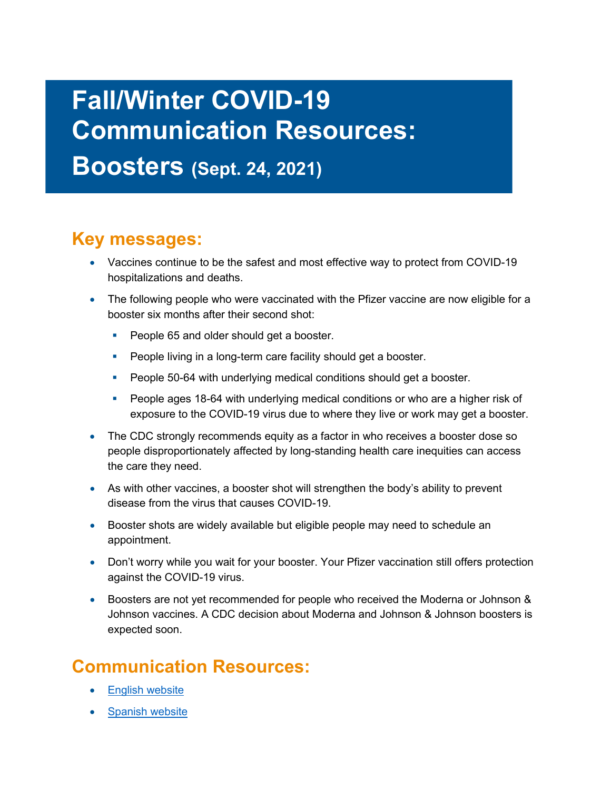## **Fall/Winter COVID-19 Communication Resources:**

**Boosters (Sept. 24, 2021)** 

## **Key messages:**

- Vaccines continue to be the safest and most effective way to protect from COVID-19 hospitalizations and deaths.
- The following people who were vaccinated with the Pfizer vaccine are now eligible for a booster six months after their second shot:
	- People 65 and older should get a booster.
	- **People living in a long-term care facility should get a booster.**
	- People 50-64 with underlying medical conditions should get a booster.
	- People ages 18-64 with underlying medical conditions or who are a higher risk of exposure to the COVID-19 virus due to where they live or work may get a booster.
- The CDC strongly recommends equity as a factor in who receives a booster dose so people disproportionately affected by long-standing health care inequities can access the care they need.
- As with other vaccines, a booster shot will strengthen the body's ability to prevent disease from the virus that causes COVID-19.
- Booster shots are widely available but eligible people may need to schedule an appointment.
- Don't worry while you wait for your booster. Your Pfizer vaccination still offers protection against the COVID-19 virus.
- Boosters are not yet recommended for people who received the Moderna or Johnson & Johnson vaccines. A CDC decision about Moderna and Johnson & Johnson boosters is expected soon.

## **Communication Resources:**

- **[English website](https://govstatus.egov.com/or-oha-booster-covid-19-vaccine)**
- [Spanish website](https://govstatus.egov.com/or-oha-booster-covid-19-vaccine/es)